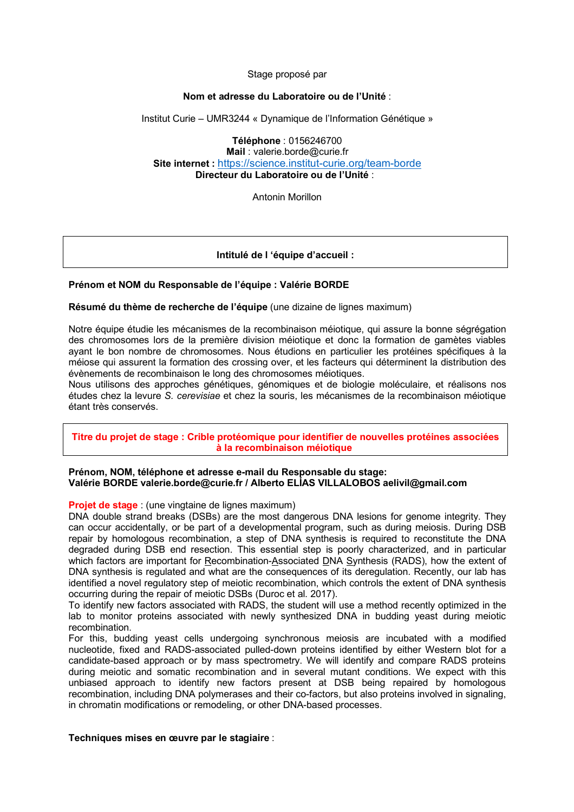#### Stage proposé par

#### **Nom et adresse du Laboratoire ou de l'Unité** :

Institut Curie – UMR3244 « Dynamique de l'Information Génétique »

**Téléphone** : 0156246700

**Mail** : valerie.borde@curie.fr **Site internet :** https://science.institut-curie.org/team-borde **Directeur du Laboratoire ou de l'Unité** :

Antonin Morillon

# **Intitulé de l 'équipe d'accueil :**

## **Prénom et NOM du Responsable de l'équipe : Valérie BORDE**

#### **Résumé du thème de recherche de l'équipe** (une dizaine de lignes maximum)

Notre équipe étudie les mécanismes de la recombinaison méiotique, qui assure la bonne ségrégation des chromosomes lors de la première division méiotique et donc la formation de gamètes viables ayant le bon nombre de chromosomes. Nous étudions en particulier les protéines spécifiques à la méiose qui assurent la formation des crossing over, et les facteurs qui déterminent la distribution des évènements de recombinaison le long des chromosomes méiotiques.

Nous utilisons des approches génétiques, génomiques et de biologie moléculaire, et réalisons nos études chez la levure *S. cerevisiae* et chez la souris, les mécanismes de la recombinaison méiotique étant très conservés.

**Titre du projet de stage : Crible protéomique pour identifier de nouvelles protéines associées à la recombinaison méiotique**

## **Prénom, NOM, téléphone et adresse e-mail du Responsable du stage: Valérie BORDE valerie.borde@curie.fr / Alberto ELÍAS VILLALOBOS aelivil@gmail.com**

#### **Projet de stage** : (une vingtaine de lignes maximum)

DNA double strand breaks (DSBs) are the most dangerous DNA lesions for genome integrity. They can occur accidentally, or be part of a developmental program, such as during meiosis. During DSB repair by homologous recombination, a step of DNA synthesis is required to reconstitute the DNA degraded during DSB end resection. This essential step is poorly characterized, and in particular which factors are important for Recombination-Associated DNA Synthesis (RADS), how the extent of DNA synthesis is regulated and what are the consequences of its deregulation. Recently, our lab has identified a novel regulatory step of meiotic recombination, which controls the extent of DNA synthesis occurring during the repair of meiotic DSBs (Duroc et al. 2017).

To identify new factors associated with RADS, the student will use a method recently optimized in the lab to monitor proteins associated with newly synthesized DNA in budding yeast during meiotic recombination.

For this, budding yeast cells undergoing synchronous meiosis are incubated with a modified nucleotide, fixed and RADS-associated pulled-down proteins identified by either Western blot for a candidate-based approach or by mass spectrometry. We will identify and compare RADS proteins during meiotic and somatic recombination and in several mutant conditions. We expect with this unbiased approach to identify new factors present at DSB being repaired by homologous recombination, including DNA polymerases and their co-factors, but also proteins involved in signaling, in chromatin modifications or remodeling, or other DNA-based processes.

#### **Techniques mises en œuvre par le stagiaire** :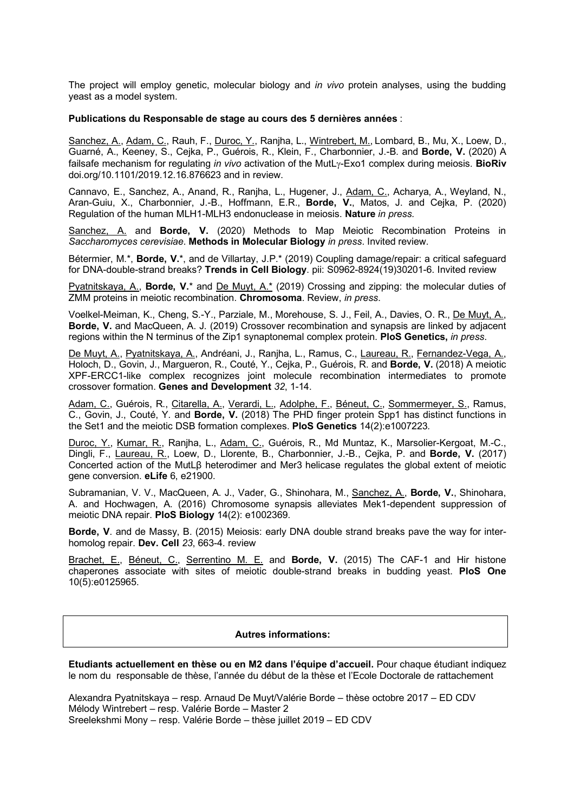The project will employ genetic, molecular biology and *in vivo* protein analyses, using the budding yeast as a model system.

#### **Publications du Responsable de stage au cours des 5 dernières années** :

Sanchez, A., Adam, C., Rauh, F., Duroc, Y., Ranjha, L., Wintrebert, M., Lombard, B., Mu, X., Loew, D., Guarné, A., Keeney, S., Cejka, P., Guérois, R., Klein, F., Charbonnier, J.-B. and **Borde, V.** (2020) A failsafe mechanism for regulating *in vivo* activation of the MutL<sub>Y</sub>-Exo1 complex during meiosis. **BioRiv** doi.org/10.1101/2019.12.16.876623 and in review.

Cannavo, E., Sanchez, A., Anand, R., Ranjha, L., Hugener, J., Adam, C., Acharya, A., Weyland, N., Aran-Guiu, X., Charbonnier, J.-B., Hoffmann, E.R., **Borde, V.**, Matos, J. and Cejka, P. (2020) Regulation of the human MLH1-MLH3 endonuclease in meiosis. **Nature** *in press.*

Sanchez, A. and **Borde, V.** (2020) Methods to Map Meiotic Recombination Proteins in *Saccharomyces cerevisiae*. **Methods in Molecular Biology** *in press*. Invited review.

Bétermier, M.\*, **Borde, V.**\*, and de Villartay, J.P.\* (2019) Coupling damage/repair: a critical safeguard for DNA-double-strand breaks? **Trends in Cell Biology**. pii: S0962-8924(19)30201-6. Invited review

Pyatnitskaya, A., **Borde, V.**\* and De Muyt, A.\* (2019) Crossing and zipping: the molecular duties of ZMM proteins in meiotic recombination. **Chromosoma**. Review, *in press*.

Voelkel-Meiman, K., Cheng, S.-Y., Parziale, M., Morehouse, S. J., Feil, A., Davies, O. R., De Muyt, A., **Borde, V.** and MacQueen, A. J. (2019) Crossover recombination and synapsis are linked by adjacent regions within the N terminus of the Zip1 synaptonemal complex protein. **PloS Genetics,** *in press*.

De Muyt, A., Pyatnitskaya, A., Andréani, J., Ranjha, L., Ramus, C., Laureau, R., Fernandez-Vega, A., Holoch, D., Govin, J., Margueron, R., Couté, Y., Cejka, P., Guérois, R. and **Borde, V.** (2018) A meiotic XPF-ERCC1-like complex recognizes joint molecule recombination intermediates to promote crossover formation. **Genes and Development** *32*, 1-14.

Adam, C., Guérois, R., Citarella, A., Verardi, L., Adolphe, F., Béneut, C., Sommermeyer, S., Ramus, C., Govin, J., Couté, Y. and **Borde, V.** (2018) The PHD finger protein Spp1 has distinct functions in the Set1 and the meiotic DSB formation complexes. **PloS Genetics** 14(2):e1007223*.*

Duroc, Y., Kumar, R., Ranjha, L., Adam, C., Guérois, R., Md Muntaz, K., Marsolier-Kergoat, M.-C., Dingli, F., Laureau, R., Loew, D., Llorente, B., Charbonnier, J.-B., Cejka, P. and **Borde, V.** (2017) Concerted action of the MutLβ heterodimer and Mer3 helicase regulates the global extent of meiotic gene conversion. **eLife** 6, e21900.

Subramanian, V. V., MacQueen, A. J., Vader, G., Shinohara, M., Sanchez, A., **Borde, V.**, Shinohara, A. and Hochwagen, A. (2016) Chromosome synapsis alleviates Mek1-dependent suppression of meiotic DNA repair. **PloS Biology** 14(2): e1002369.

**Borde, V**. and de Massy, B. (2015) Meiosis: early DNA double strand breaks pave the way for interhomolog repair. **Dev. Cell** *23*, 663-4. review

Brachet, E., Béneut, C., Serrentino M. E. and **Borde, V.** (2015) The CAF-1 and Hir histone chaperones associate with sites of meiotic double-strand breaks in budding yeast. **PloS One** 10(5):e0125965.

#### **Autres informations:**

**Etudiants actuellement en thèse ou en M2 dans l'équipe d'accueil.** Pour chaque étudiant indiquez le nom du responsable de thèse, l'année du début de la thèse et l'Ecole Doctorale de rattachement

Alexandra Pyatnitskaya – resp. Arnaud De Muyt/Valérie Borde – thèse octobre 2017 – ED CDV Mélody Wintrebert – resp. Valérie Borde – Master 2 Sreelekshmi Mony – resp. Valérie Borde – thèse juillet 2019 – ED CDV